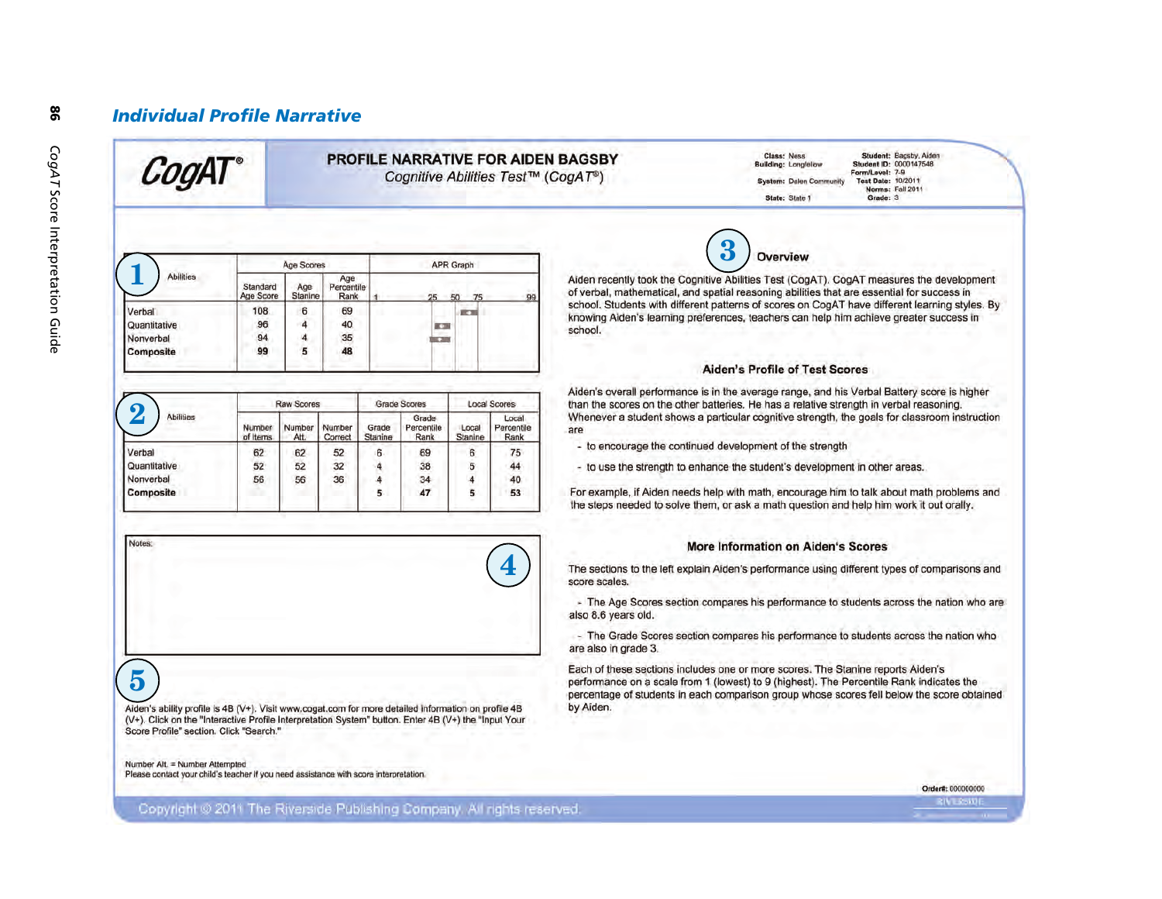### **Individual Profile Narrative**

### PROFILE NARRATIVE FOR AIDEN BAGSBY Cognitive Abilities Test™ (CogAT®)

Student: Bagsby, Aiden Class: Ness **Building: Longfellow** Student ID: 0000147548 Form/Level: 7-9 Test Date: 10/2011 **System: Dalen Community** Norms: Fall 2011 State: State 1 Grade: 3

| <b>Abilities</b> | Age Scores            |                |                           | APR Graph |                      |  |  |
|------------------|-----------------------|----------------|---------------------------|-----------|----------------------|--|--|
|                  | Standard<br>Age Score | Age<br>Stanine | Age<br>Percentile<br>Rank |           | 99<br>25<br>75<br>50 |  |  |
| Verbal           | 108                   | 6              | 69                        |           | 原因                   |  |  |
| Quantitative     | 96                    | 4              | 40                        |           | <b>KS</b>            |  |  |
| Nonverbal        | 94                    | 4              | 35                        |           | ×.                   |  |  |
| Composite        | 99                    | 5              | 48                        |           |                      |  |  |

| വ<br><b>Abilities</b> | <b>Raw Scores</b>  |               |                   | Grade Scores     |                             | <b>Local Scores</b> |                             |
|-----------------------|--------------------|---------------|-------------------|------------------|-----------------------------|---------------------|-----------------------------|
|                       | Number<br>of Items | Number<br>Att | Number<br>Correct | Grade<br>Stanine | Grade<br>Percentile<br>Rank | Local<br>Stanine    | Local<br>Percentile<br>Rank |
| Verbal                | 62                 | 62            | 52                | 6                | 69                          | 6                   | 75                          |
| Quantitative          | 52                 | 52            | 32                | 4                | 38                          | 5                   | 44                          |
| Nonverbal             | 56                 | 56            | 36                | 4                | 34                          | 4                   | 40                          |
| <b>Composite</b>      |                    |               |                   | 5                | 47                          | 5                   | 53                          |

# $5\overline{)}$

Aiden's ability profile is 4B (V+). Visit www.cogat.com for more detailed information on profile 4B (V+). Click on the "Interactive Profile Interpretation System" button. Enter 4B (V+) the "Input Your Score Profile" section. Click "Search."

Number Alt. = Number Attempted Please contact your child's teacher if you need assistance with score interpretation.

# Overview

Aiden recently took the Cognitive Abilities Test (CogAT). CogAT measures the development of verbal, mathematical, and spatial reasoning abilities that are essential for success in school. Students with different patterns of scores on CogAT have different learning styles. By knowing Aiden's learning preferences, teachers can help him achieve greater success in school.

#### **Aiden's Profile of Test Scores**

Aiden's overall performance is in the average range, and his Verbal Battery score is higher than the scores on the other batteries. He has a relative strength in verbal reasoning. Whenever a student shows a particular cognitive strength, the goals for classroom instruction are

- to encourage the continued development of the strength

- to use the strength to enhance the student's development in other areas.

For example, if Aiden needs help with math, encourage him to talk about math problems and the steps needed to solve them, or ask a math question and help him work it out orally.

### **More Information on Aiden's Scores**

The sections to the left explain Aiden's performance using different types of comparisons and score scales.

- The Age Scores section compares his performance to students across the nation who are also 8.6 years old.

- The Grade Scores section compares his performance to students across the nation who are also in grade 3.

Each of these sections includes one or more scores. The Stanine reports Aiden's performance on a scale from 1 (lowest) to 9 (highest). The Percentile Rank indicates the percentage of students in each comparison group whose scores fell below the score obtained by Aiden.

Order#: 000000000

Copyright @ 2011 The Riverside Publishing Company. All rights reserved.